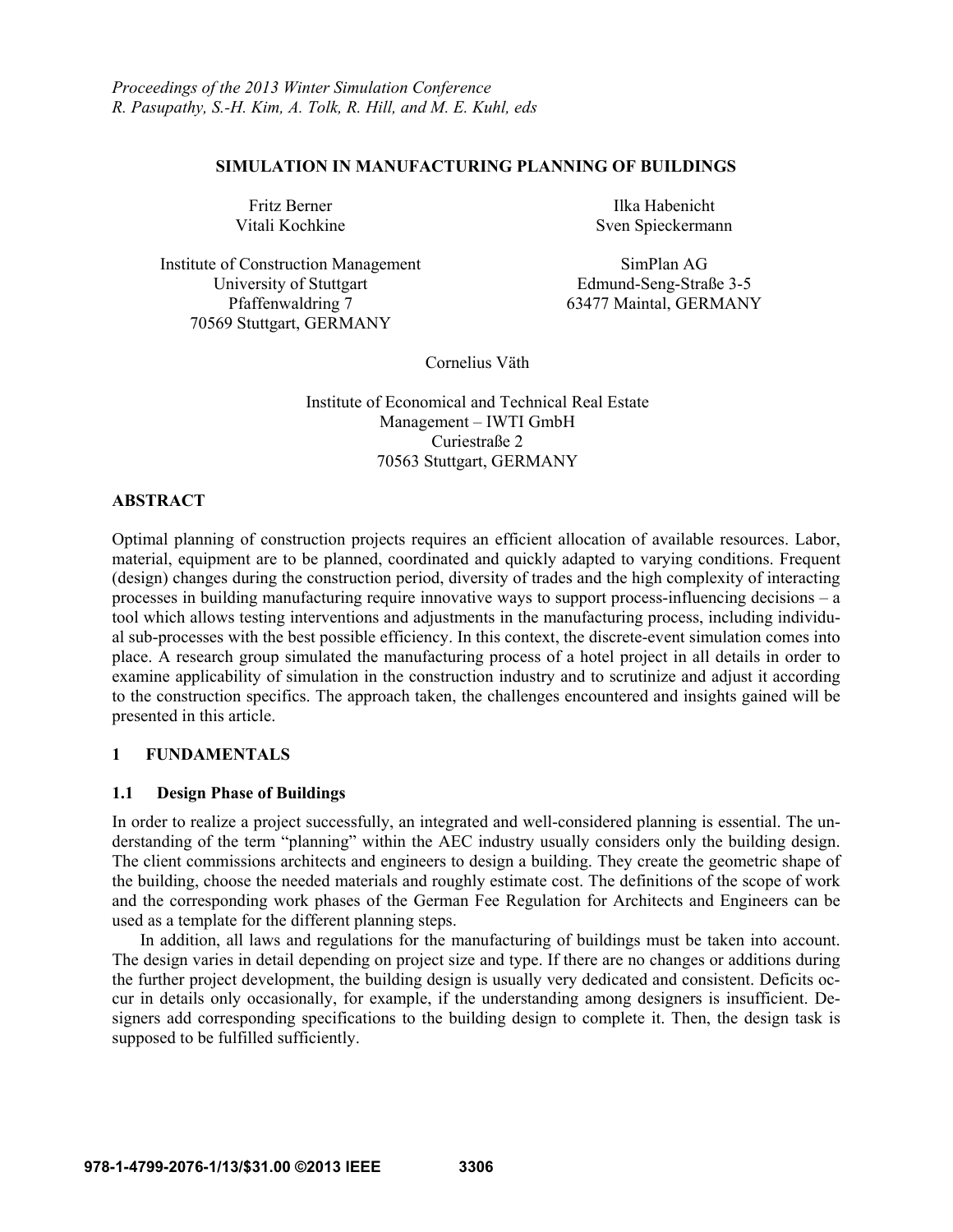### **SIMULATION IN MANUFACTURING PLANNING OF BUILDINGS**

Fritz Berner Vitali Kochkine

Institute of Construction Management SimPlan AG University of Stuttgart Edmund-Seng-Straße 3-5 Pfaffenwaldring 7 70569 Stuttgart, GERMANY

Ilka Habenicht Sven Spieckermann

63477 Maintal, GERMANY

Cornelius Väth

Institute of Economical and Technical Real Estate Management – IWTI GmbH Curiestraße 2 70563 Stuttgart, GERMANY

# **ABSTRACT**

Optimal planning of construction projects requires an efficient allocation of available resources. Labor, material, equipment are to be planned, coordinated and quickly adapted to varying conditions. Frequent (design) changes during the construction period, diversity of trades and the high complexity of interacting processes in building manufacturing require innovative ways to support process-influencing decisions – a tool which allows testing interventions and adjustments in the manufacturing process, including individual sub-processes with the best possible efficiency. In this context, the discrete-event simulation comes into place. A research group simulated the manufacturing process of a hotel project in all details in order to examine applicability of simulation in the construction industry and to scrutinize and adjust it according to the construction specifics. The approach taken, the challenges encountered and insights gained will be presented in this article.

# **1 FUNDAMENTALS**

# **1.1 Design Phase of Buildings**

In order to realize a project successfully, an integrated and well-considered planning is essential. The understanding of the term "planning" within the AEC industry usually considers only the building design. The client commissions architects and engineers to design a building. They create the geometric shape of the building, choose the needed materials and roughly estimate cost. The definitions of the scope of work and the corresponding work phases of the German Fee Regulation for Architects and Engineers can be used as a template for the different planning steps.

 In addition, all laws and regulations for the manufacturing of buildings must be taken into account. The design varies in detail depending on project size and type. If there are no changes or additions during the further project development, the building design is usually very dedicated and consistent. Deficits occur in details only occasionally, for example, if the understanding among designers is insufficient. Designers add corresponding specifications to the building design to complete it. Then, the design task is supposed to be fulfilled sufficiently.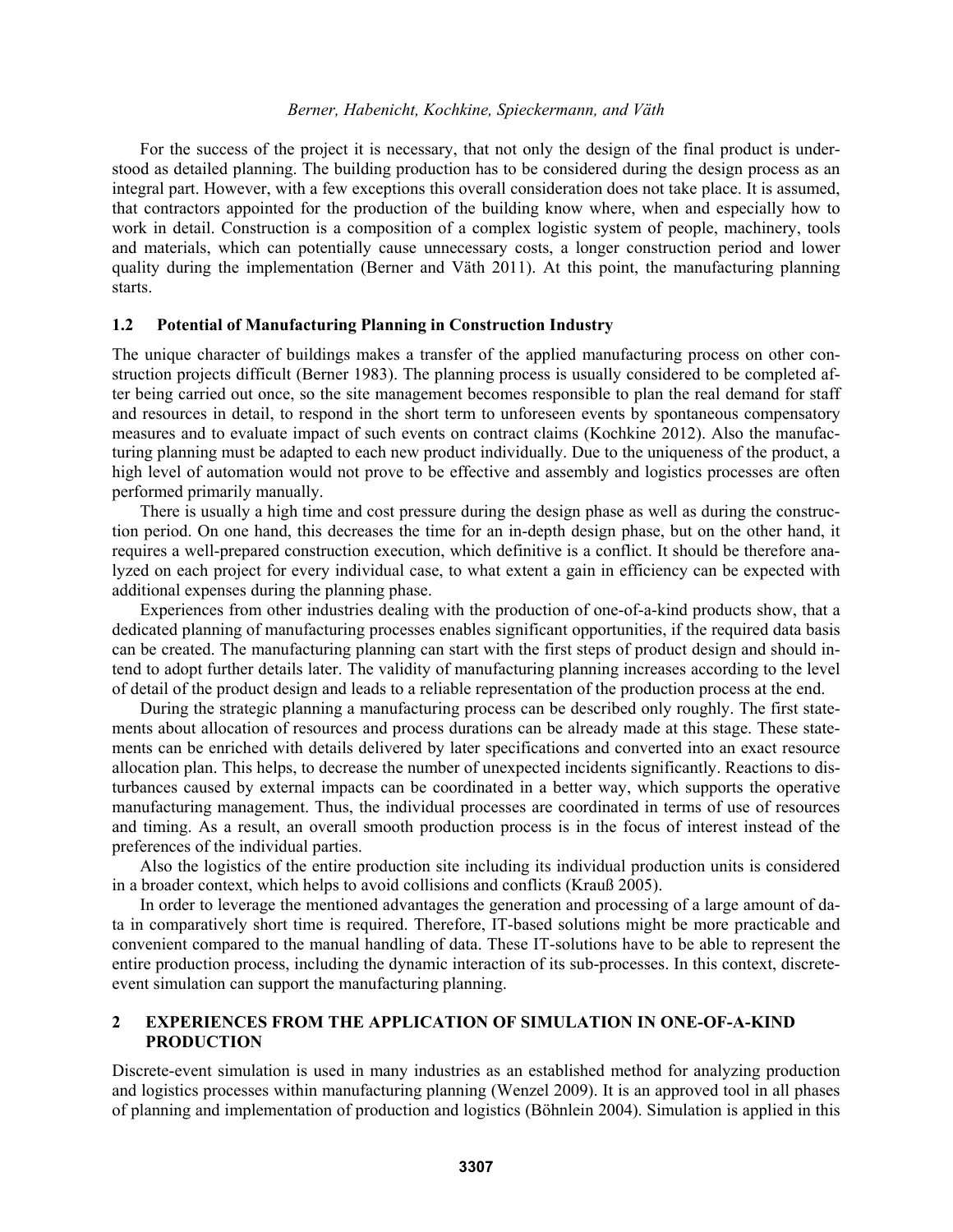For the success of the project it is necessary, that not only the design of the final product is understood as detailed planning. The building production has to be considered during the design process as an integral part. However, with a few exceptions this overall consideration does not take place. It is assumed, that contractors appointed for the production of the building know where, when and especially how to work in detail. Construction is a composition of a complex logistic system of people, machinery, tools and materials, which can potentially cause unnecessary costs, a longer construction period and lower quality during the implementation (Berner and Väth 2011). At this point, the manufacturing planning starts.

### **1.2 Potential of Manufacturing Planning in Construction Industry**

The unique character of buildings makes a transfer of the applied manufacturing process on other construction projects difficult (Berner 1983). The planning process is usually considered to be completed after being carried out once, so the site management becomes responsible to plan the real demand for staff and resources in detail, to respond in the short term to unforeseen events by spontaneous compensatory measures and to evaluate impact of such events on contract claims (Kochkine 2012). Also the manufacturing planning must be adapted to each new product individually. Due to the uniqueness of the product, a high level of automation would not prove to be effective and assembly and logistics processes are often performed primarily manually.

 There is usually a high time and cost pressure during the design phase as well as during the construction period. On one hand, this decreases the time for an in-depth design phase, but on the other hand, it requires a well-prepared construction execution, which definitive is a conflict. It should be therefore analyzed on each project for every individual case, to what extent a gain in efficiency can be expected with additional expenses during the planning phase.

 Experiences from other industries dealing with the production of one-of-a-kind products show, that a dedicated planning of manufacturing processes enables significant opportunities, if the required data basis can be created. The manufacturing planning can start with the first steps of product design and should intend to adopt further details later. The validity of manufacturing planning increases according to the level of detail of the product design and leads to a reliable representation of the production process at the end.

 During the strategic planning a manufacturing process can be described only roughly. The first statements about allocation of resources and process durations can be already made at this stage. These statements can be enriched with details delivered by later specifications and converted into an exact resource allocation plan. This helps, to decrease the number of unexpected incidents significantly. Reactions to disturbances caused by external impacts can be coordinated in a better way, which supports the operative manufacturing management. Thus, the individual processes are coordinated in terms of use of resources and timing. As a result, an overall smooth production process is in the focus of interest instead of the preferences of the individual parties.

 Also the logistics of the entire production site including its individual production units is considered in a broader context, which helps to avoid collisions and conflicts (Krauß 2005).

In order to leverage the mentioned advantages the generation and processing of a large amount of data in comparatively short time is required. Therefore, IT-based solutions might be more practicable and convenient compared to the manual handling of data. These IT-solutions have to be able to represent the entire production process, including the dynamic interaction of its sub-processes. In this context, discreteevent simulation can support the manufacturing planning.

# **2 EXPERIENCES FROM THE APPLICATION OF SIMULATION IN ONE-OF-A-KIND PRODUCTION**

Discrete-event simulation is used in many industries as an established method for analyzing production and logistics processes within manufacturing planning (Wenzel 2009). It is an approved tool in all phases of planning and implementation of production and logistics (Böhnlein 2004). Simulation is applied in this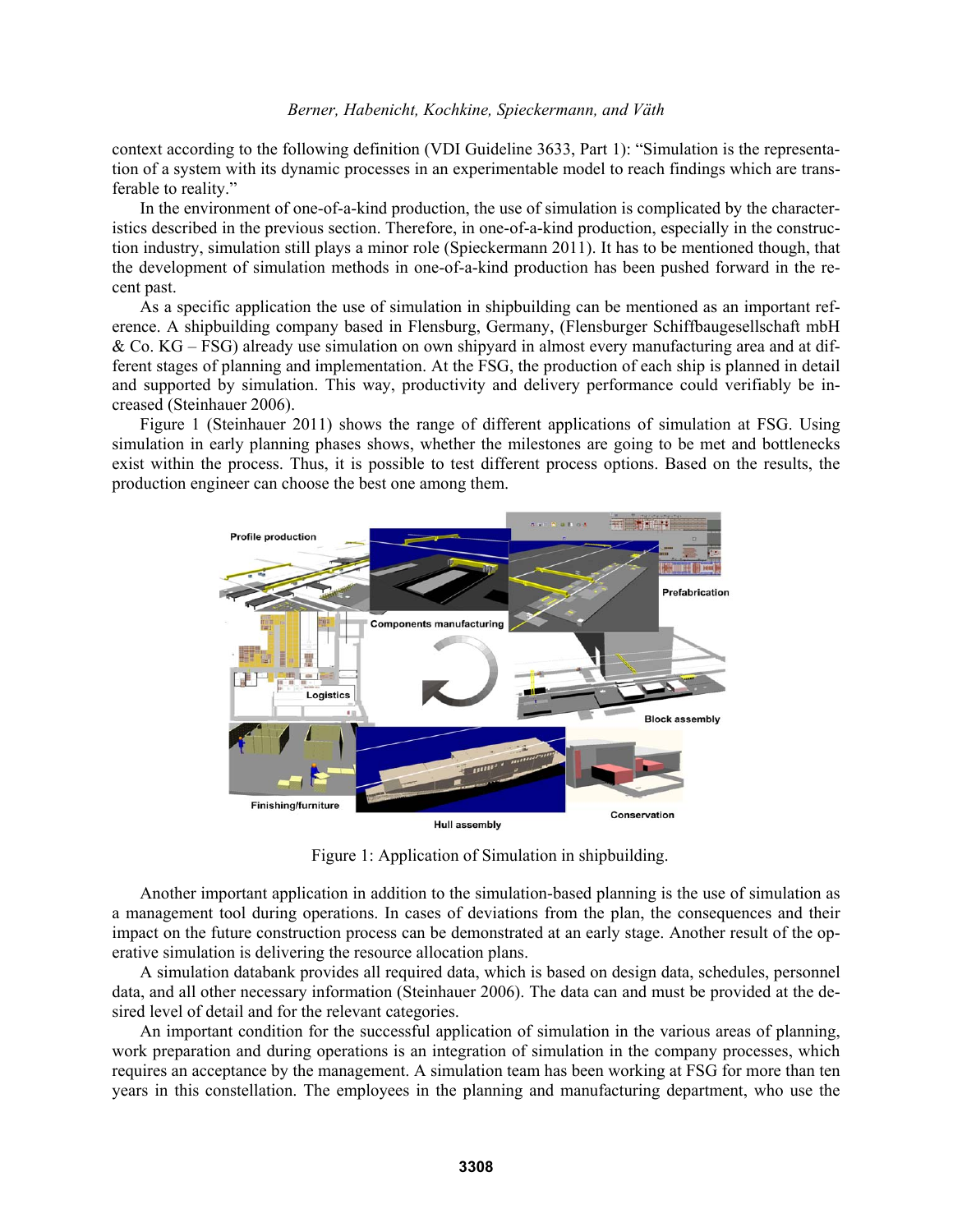context according to the following definition (VDI Guideline 3633, Part 1): "Simulation is the representation of a system with its dynamic processes in an experimentable model to reach findings which are transferable to reality."

 In the environment of one-of-a-kind production, the use of simulation is complicated by the characteristics described in the previous section. Therefore, in one-of-a-kind production, especially in the construction industry, simulation still plays a minor role (Spieckermann 2011). It has to be mentioned though, that the development of simulation methods in one-of-a-kind production has been pushed forward in the recent past.

 As a specific application the use of simulation in shipbuilding can be mentioned as an important reference. A shipbuilding company based in Flensburg, Germany, (Flensburger Schiffbaugesellschaft mbH & Co. KG – FSG) already use simulation on own shipyard in almost every manufacturing area and at different stages of planning and implementation. At the FSG, the production of each ship is planned in detail and supported by simulation. This way, productivity and delivery performance could verifiably be increased (Steinhauer 2006).

 Figure 1 (Steinhauer 2011) shows the range of different applications of simulation at FSG. Using simulation in early planning phases shows, whether the milestones are going to be met and bottlenecks exist within the process. Thus, it is possible to test different process options. Based on the results, the production engineer can choose the best one among them.



Figure 1: Application of Simulation in shipbuilding.

 Another important application in addition to the simulation-based planning is the use of simulation as a management tool during operations. In cases of deviations from the plan, the consequences and their impact on the future construction process can be demonstrated at an early stage. Another result of the operative simulation is delivering the resource allocation plans.

 A simulation databank provides all required data, which is based on design data, schedules, personnel data, and all other necessary information (Steinhauer 2006). The data can and must be provided at the desired level of detail and for the relevant categories.

 An important condition for the successful application of simulation in the various areas of planning, work preparation and during operations is an integration of simulation in the company processes, which requires an acceptance by the management. A simulation team has been working at FSG for more than ten years in this constellation. The employees in the planning and manufacturing department, who use the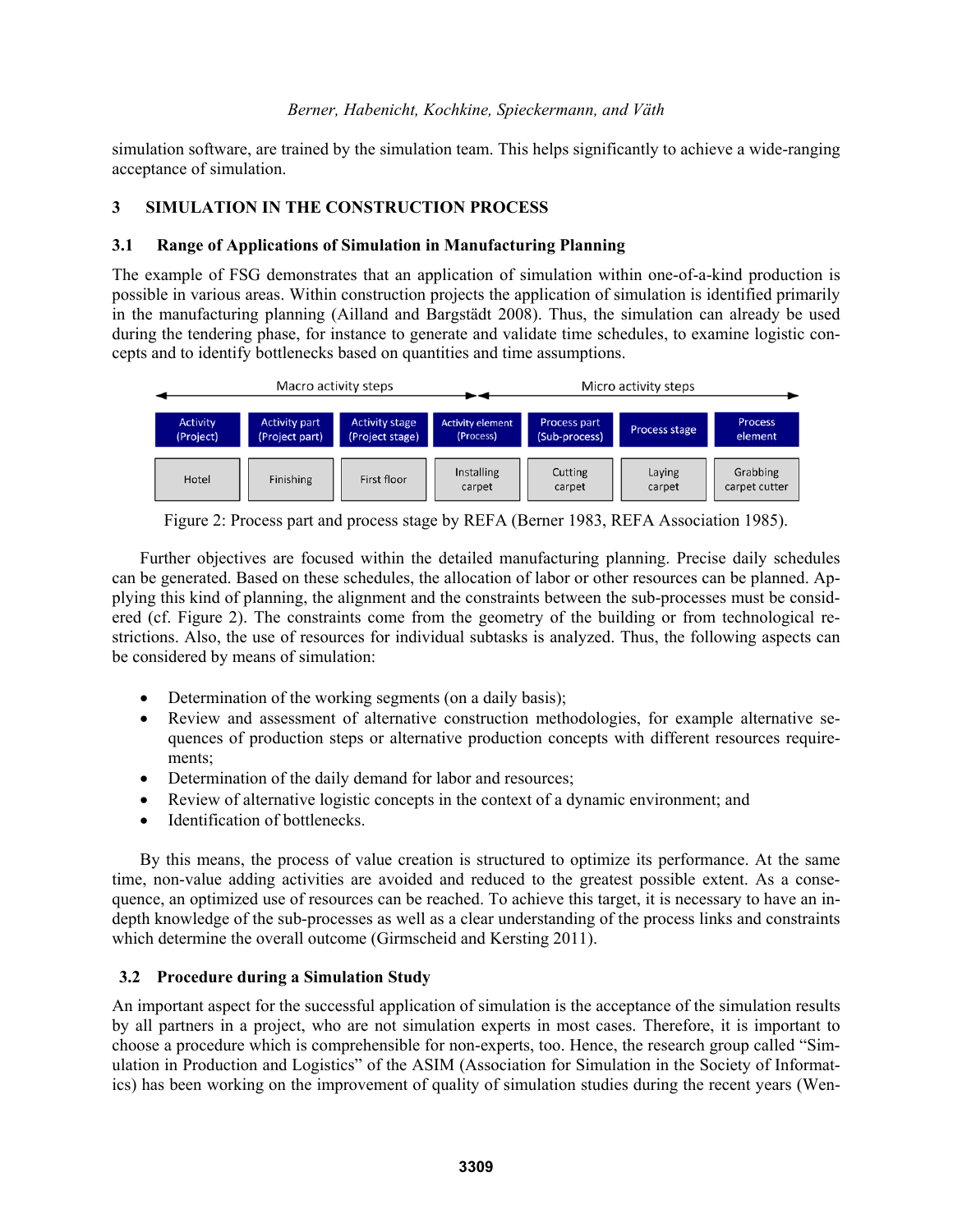simulation software, are trained by the simulation team. This helps significantly to achieve a wide-ranging acceptance of simulation.

# **3 SIMULATION IN THE CONSTRUCTION PROCESS**

# **3.1 Range of Applications of Simulation in Manufacturing Planning**

The example of FSG demonstrates that an application of simulation within one-of-a-kind production is possible in various areas. Within construction projects the application of simulation is identified primarily in the manufacturing planning (Ailland and Bargstädt 2008). Thus, the simulation can already be used during the tendering phase, for instance to generate and validate time schedules, to examine logistic concepts and to identify bottlenecks based on quantities and time assumptions.



Figure 2: Process part and process stage by REFA (Berner 1983, REFA Association 1985).

 Further objectives are focused within the detailed manufacturing planning. Precise daily schedules can be generated. Based on these schedules, the allocation of labor or other resources can be planned. Applying this kind of planning, the alignment and the constraints between the sub-processes must be considered (cf. Figure 2). The constraints come from the geometry of the building or from technological restrictions. Also, the use of resources for individual subtasks is analyzed. Thus, the following aspects can be considered by means of simulation:

- Determination of the working segments (on a daily basis);
- Review and assessment of alternative construction methodologies, for example alternative sequences of production steps or alternative production concepts with different resources requirements;
- Determination of the daily demand for labor and resources;
- Review of alternative logistic concepts in the context of a dynamic environment; and
- Identification of bottlenecks.

 By this means, the process of value creation is structured to optimize its performance. At the same time, non-value adding activities are avoided and reduced to the greatest possible extent. As a consequence, an optimized use of resources can be reached. To achieve this target, it is necessary to have an indepth knowledge of the sub-processes as well as a clear understanding of the process links and constraints which determine the overall outcome (Girmscheid and Kersting 2011).

# **3.2 Procedure during a Simulation Study**

An important aspect for the successful application of simulation is the acceptance of the simulation results by all partners in a project, who are not simulation experts in most cases. Therefore, it is important to choose a procedure which is comprehensible for non-experts, too. Hence, the research group called "Simulation in Production and Logistics" of the ASIM (Association for Simulation in the Society of Informatics) has been working on the improvement of quality of simulation studies during the recent years (Wen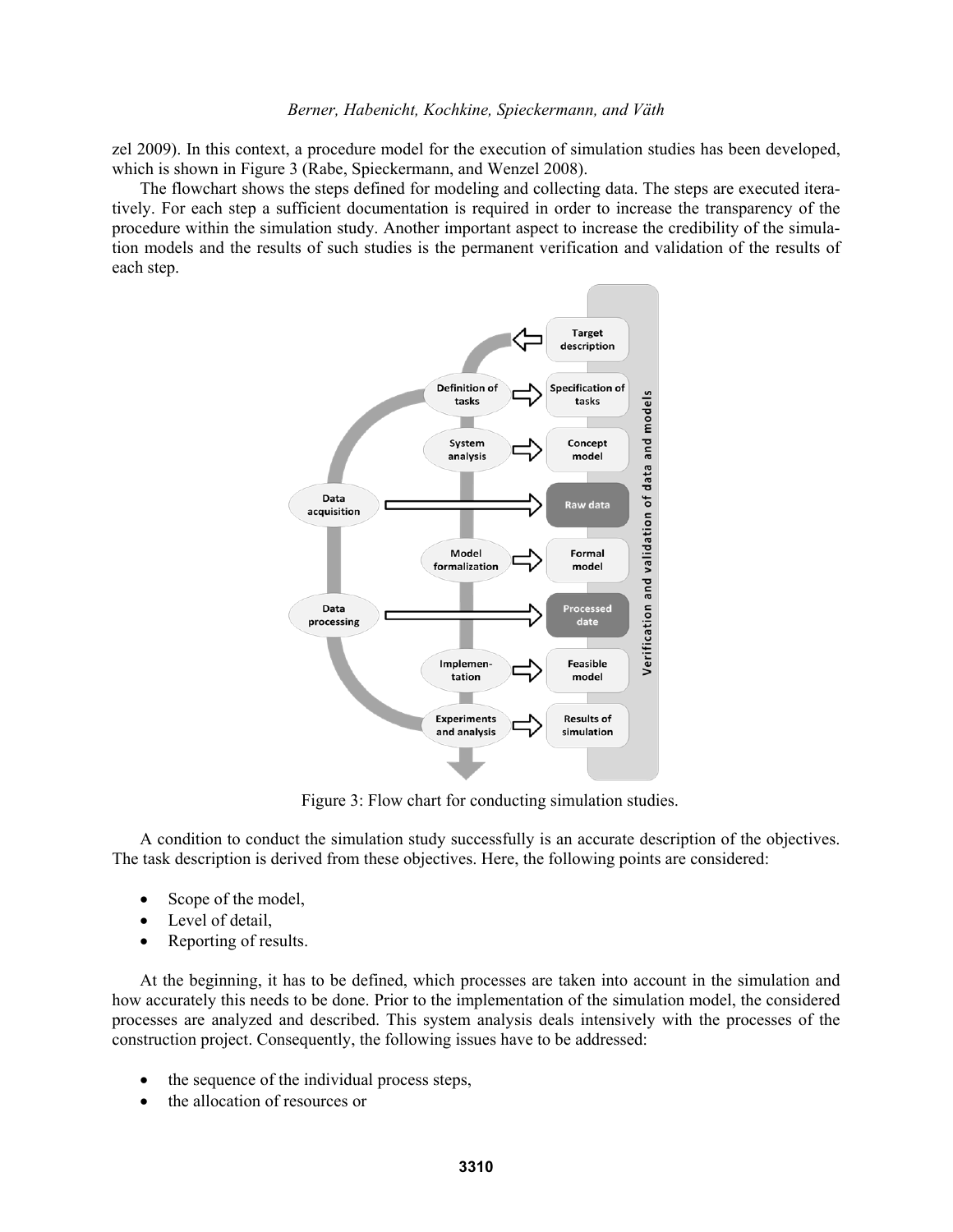zel 2009). In this context, a procedure model for the execution of simulation studies has been developed, which is shown in Figure 3 (Rabe, Spieckermann, and Wenzel 2008).

The flowchart shows the steps defined for modeling and collecting data. The steps are executed iteratively. For each step a sufficient documentation is required in order to increase the transparency of the procedure within the simulation study. Another important aspect to increase the credibility of the simulation models and the results of such studies is the permanent verification and validation of the results of each step.



Figure 3: Flow chart for conducting simulation studies.

 A condition to conduct the simulation study successfully is an accurate description of the objectives. The task description is derived from these objectives. Here, the following points are considered:

- Scope of the model,
- Level of detail,
- Reporting of results.

 At the beginning, it has to be defined, which processes are taken into account in the simulation and how accurately this needs to be done. Prior to the implementation of the simulation model, the considered processes are analyzed and described. This system analysis deals intensively with the processes of the construction project. Consequently, the following issues have to be addressed:

- the sequence of the individual process steps,
- the allocation of resources or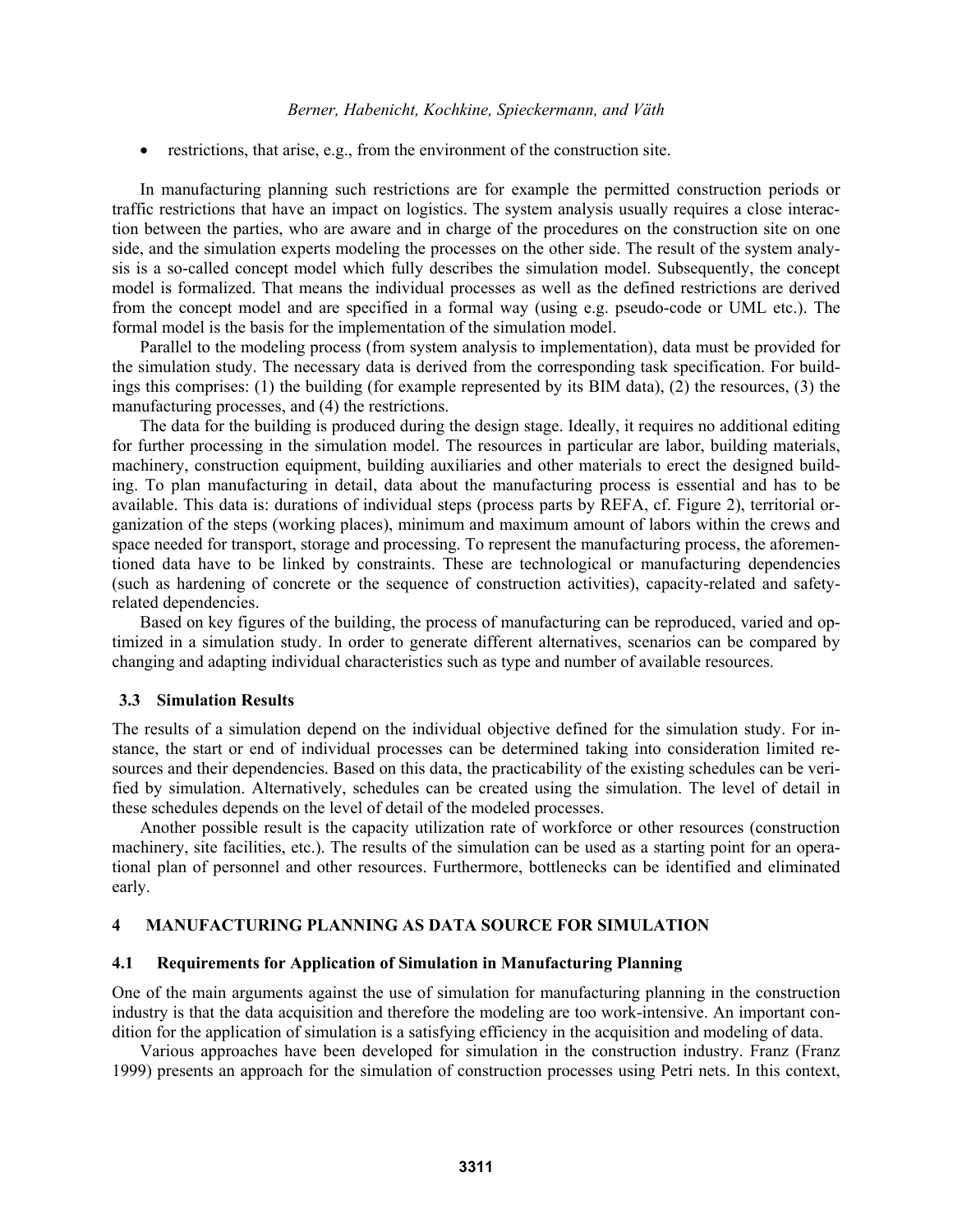• restrictions, that arise, e.g., from the environment of the construction site.

 In manufacturing planning such restrictions are for example the permitted construction periods or traffic restrictions that have an impact on logistics. The system analysis usually requires a close interaction between the parties, who are aware and in charge of the procedures on the construction site on one side, and the simulation experts modeling the processes on the other side. The result of the system analysis is a so-called concept model which fully describes the simulation model. Subsequently, the concept model is formalized. That means the individual processes as well as the defined restrictions are derived from the concept model and are specified in a formal way (using e.g. pseudo-code or UML etc.). The formal model is the basis for the implementation of the simulation model.

 Parallel to the modeling process (from system analysis to implementation), data must be provided for the simulation study. The necessary data is derived from the corresponding task specification. For buildings this comprises: (1) the building (for example represented by its BIM data), (2) the resources, (3) the manufacturing processes, and (4) the restrictions.

 The data for the building is produced during the design stage. Ideally, it requires no additional editing for further processing in the simulation model. The resources in particular are labor, building materials, machinery, construction equipment, building auxiliaries and other materials to erect the designed building. To plan manufacturing in detail, data about the manufacturing process is essential and has to be available. This data is: durations of individual steps (process parts by REFA, cf. Figure 2), territorial organization of the steps (working places), minimum and maximum amount of labors within the crews and space needed for transport, storage and processing. To represent the manufacturing process, the aforementioned data have to be linked by constraints. These are technological or manufacturing dependencies (such as hardening of concrete or the sequence of construction activities), capacity-related and safetyrelated dependencies.

 Based on key figures of the building, the process of manufacturing can be reproduced, varied and optimized in a simulation study. In order to generate different alternatives, scenarios can be compared by changing and adapting individual characteristics such as type and number of available resources.

### **3.3 Simulation Results**

The results of a simulation depend on the individual objective defined for the simulation study. For instance, the start or end of individual processes can be determined taking into consideration limited resources and their dependencies. Based on this data, the practicability of the existing schedules can be verified by simulation. Alternatively, schedules can be created using the simulation. The level of detail in these schedules depends on the level of detail of the modeled processes.

 Another possible result is the capacity utilization rate of workforce or other resources (construction machinery, site facilities, etc.). The results of the simulation can be used as a starting point for an operational plan of personnel and other resources. Furthermore, bottlenecks can be identified and eliminated early.

### **4 MANUFACTURING PLANNING AS DATA SOURCE FOR SIMULATION**

#### **4.1 Requirements for Application of Simulation in Manufacturing Planning**

One of the main arguments against the use of simulation for manufacturing planning in the construction industry is that the data acquisition and therefore the modeling are too work-intensive. An important condition for the application of simulation is a satisfying efficiency in the acquisition and modeling of data.

 Various approaches have been developed for simulation in the construction industry. Franz (Franz 1999) presents an approach for the simulation of construction processes using Petri nets. In this context,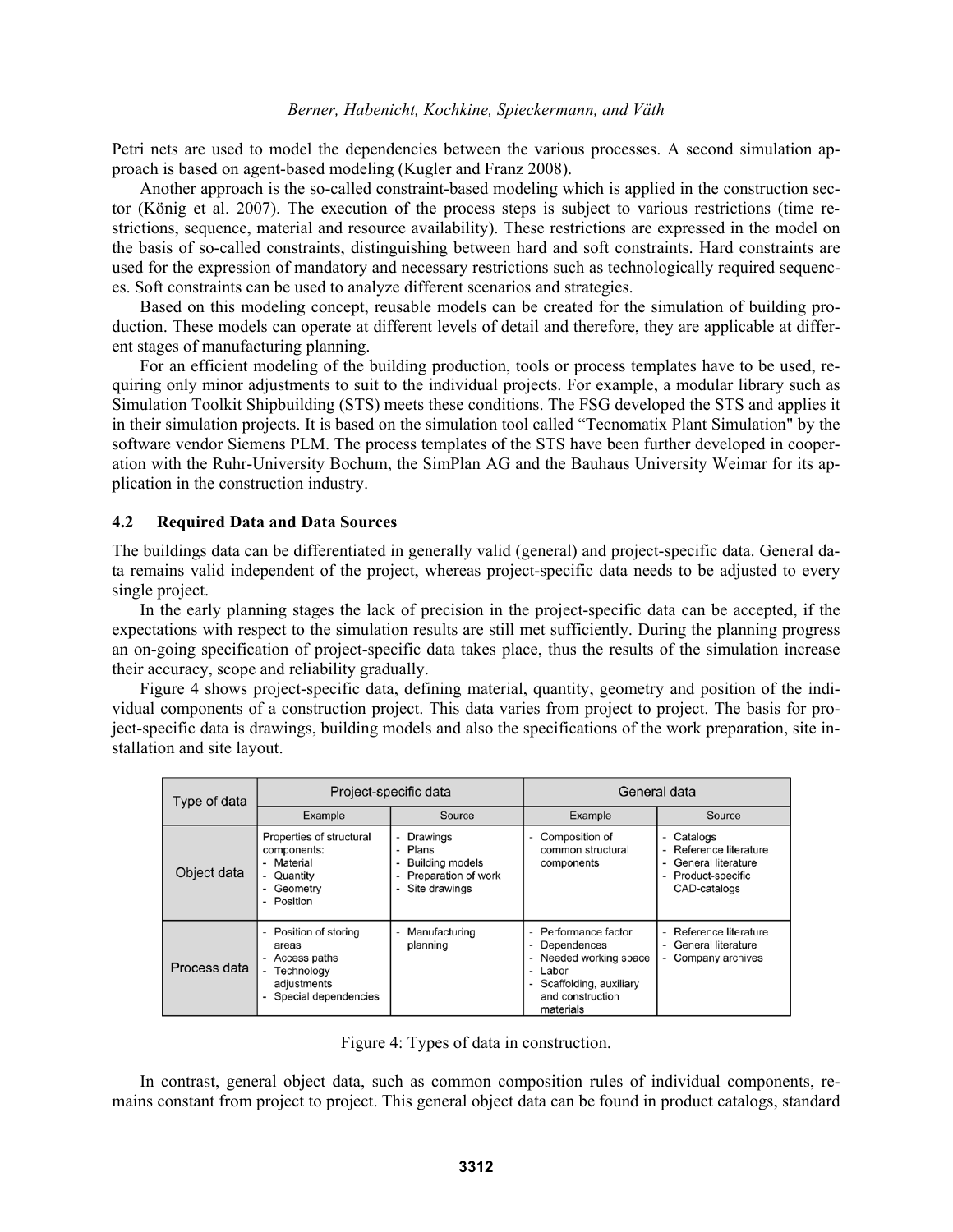Petri nets are used to model the dependencies between the various processes. A second simulation approach is based on agent-based modeling (Kugler and Franz 2008).

 Another approach is the so-called constraint-based modeling which is applied in the construction sector (König et al. 2007). The execution of the process steps is subject to various restrictions (time restrictions, sequence, material and resource availability). These restrictions are expressed in the model on the basis of so-called constraints, distinguishing between hard and soft constraints. Hard constraints are used for the expression of mandatory and necessary restrictions such as technologically required sequences. Soft constraints can be used to analyze different scenarios and strategies.

 Based on this modeling concept, reusable models can be created for the simulation of building production. These models can operate at different levels of detail and therefore, they are applicable at different stages of manufacturing planning.

 For an efficient modeling of the building production, tools or process templates have to be used, requiring only minor adjustments to suit to the individual projects. For example, a modular library such as Simulation Toolkit Shipbuilding (STS) meets these conditions. The FSG developed the STS and applies it in their simulation projects. It is based on the simulation tool called "Tecnomatix Plant Simulation" by the software vendor Siemens PLM. The process templates of the STS have been further developed in cooperation with the Ruhr-University Bochum, the SimPlan AG and the Bauhaus University Weimar for its application in the construction industry.

### **4.2 Required Data and Data Sources**

The buildings data can be differentiated in generally valid (general) and project-specific data. General data remains valid independent of the project, whereas project-specific data needs to be adjusted to every single project.

 In the early planning stages the lack of precision in the project-specific data can be accepted, if the expectations with respect to the simulation results are still met sufficiently. During the planning progress an on-going specification of project-specific data takes place, thus the results of the simulation increase their accuracy, scope and reliability gradually.

 Figure 4 shows project-specific data, defining material, quantity, geometry and position of the individual components of a construction project. This data varies from project to project. The basis for project-specific data is drawings, building models and also the specifications of the work preparation, site installation and site layout.

| Type of data | Project-specific data                                                                                                                                                                             |                                                                                                                                        | General data                                                                                                                                                                                 |                                                                                            |
|--------------|---------------------------------------------------------------------------------------------------------------------------------------------------------------------------------------------------|----------------------------------------------------------------------------------------------------------------------------------------|----------------------------------------------------------------------------------------------------------------------------------------------------------------------------------------------|--------------------------------------------------------------------------------------------|
|              | Example                                                                                                                                                                                           | Source                                                                                                                                 | Example                                                                                                                                                                                      | Source                                                                                     |
| Object data  | Properties of structural<br>components:<br>Material<br>Quantity<br>Geometry<br>Position<br>$\overline{a}$                                                                                         | Drawings<br>$\overline{a}$<br>Plans<br>$\overline{\phantom{0}}$<br><b>Building models</b><br>Preparation of work<br>Site drawings<br>- | Composition of<br>common structural<br>components                                                                                                                                            | Catalogs<br>Reference literature<br>General literature<br>Product-specific<br>CAD-catalogs |
| Process data | Position of storing<br>$\qquad \qquad \blacksquare$<br>areas<br>Access paths<br>$\overline{\phantom{a}}$<br>Technology<br>$\blacksquare$<br>adjustments<br>Special dependencies<br>$\blacksquare$ | Manufacturing<br>$\overline{\phantom{0}}$<br>planning                                                                                  | - Performance factor<br>Dependences<br>Needed working space<br>$\overline{\phantom{0}}$<br>Labor<br>-<br>Scaffolding, auxiliary<br>$\overline{\phantom{0}}$<br>and construction<br>materials | - Reference literature<br>- General literature<br>Company archives                         |

Figure 4: Types of data in construction.

 In contrast, general object data, such as common composition rules of individual components, remains constant from project to project. This general object data can be found in product catalogs, standard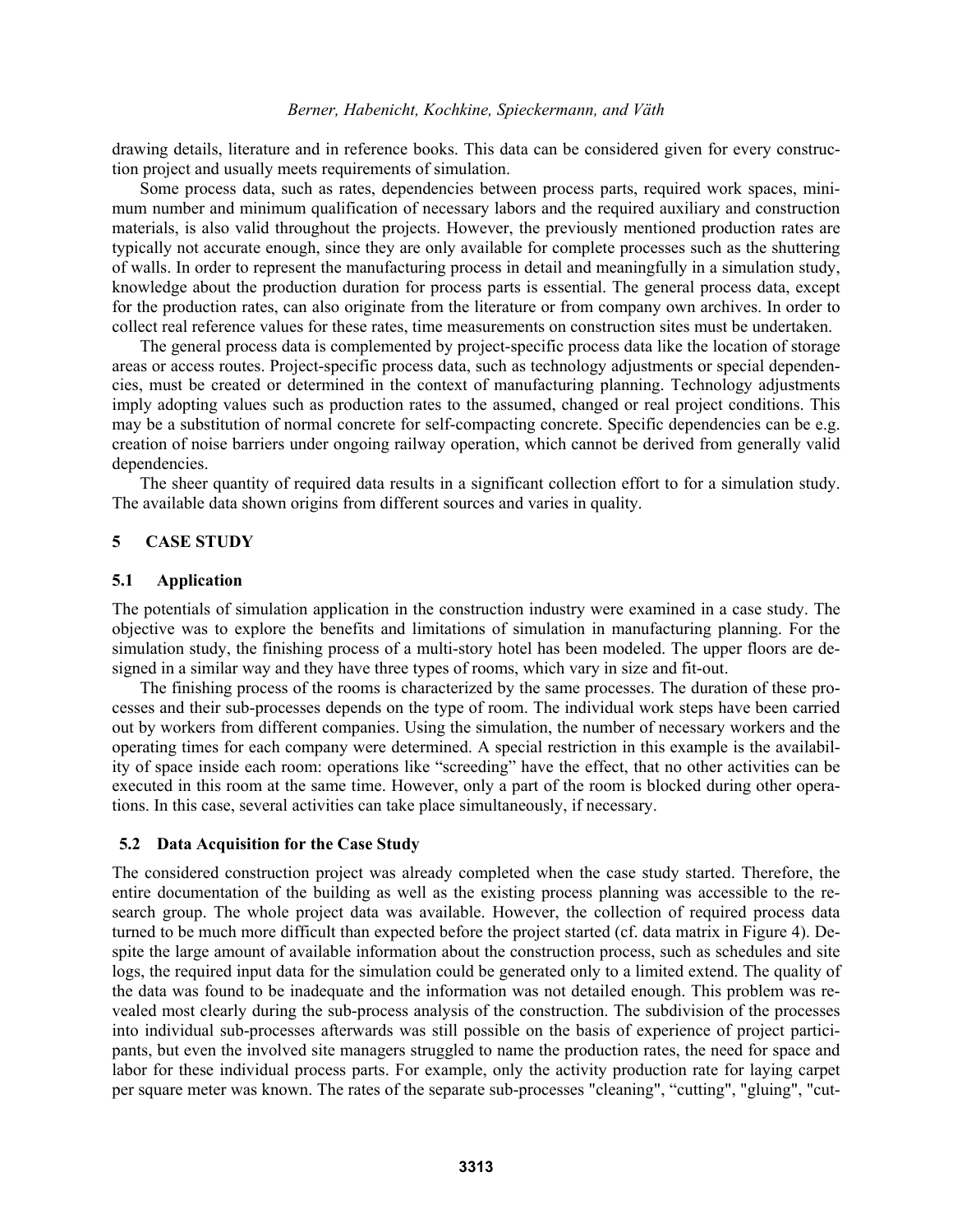drawing details, literature and in reference books. This data can be considered given for every construction project and usually meets requirements of simulation.

 Some process data, such as rates, dependencies between process parts, required work spaces, minimum number and minimum qualification of necessary labors and the required auxiliary and construction materials, is also valid throughout the projects. However, the previously mentioned production rates are typically not accurate enough, since they are only available for complete processes such as the shuttering of walls. In order to represent the manufacturing process in detail and meaningfully in a simulation study, knowledge about the production duration for process parts is essential. The general process data, except for the production rates, can also originate from the literature or from company own archives. In order to collect real reference values for these rates, time measurements on construction sites must be undertaken.

 The general process data is complemented by project-specific process data like the location of storage areas or access routes. Project-specific process data, such as technology adjustments or special dependencies, must be created or determined in the context of manufacturing planning. Technology adjustments imply adopting values such as production rates to the assumed, changed or real project conditions. This may be a substitution of normal concrete for self-compacting concrete. Specific dependencies can be e.g. creation of noise barriers under ongoing railway operation, which cannot be derived from generally valid dependencies.

 The sheer quantity of required data results in a significant collection effort to for a simulation study. The available data shown origins from different sources and varies in quality.

### **5 CASE STUDY**

### **5.1 Application**

The potentials of simulation application in the construction industry were examined in a case study. The objective was to explore the benefits and limitations of simulation in manufacturing planning. For the simulation study, the finishing process of a multi-story hotel has been modeled. The upper floors are designed in a similar way and they have three types of rooms, which vary in size and fit-out.

 The finishing process of the rooms is characterized by the same processes. The duration of these processes and their sub-processes depends on the type of room. The individual work steps have been carried out by workers from different companies. Using the simulation, the number of necessary workers and the operating times for each company were determined. A special restriction in this example is the availability of space inside each room: operations like "screeding" have the effect, that no other activities can be executed in this room at the same time. However, only a part of the room is blocked during other operations. In this case, several activities can take place simultaneously, if necessary.

### **5.2 Data Acquisition for the Case Study**

The considered construction project was already completed when the case study started. Therefore, the entire documentation of the building as well as the existing process planning was accessible to the research group. The whole project data was available. However, the collection of required process data turned to be much more difficult than expected before the project started (cf. data matrix in Figure 4). Despite the large amount of available information about the construction process, such as schedules and site logs, the required input data for the simulation could be generated only to a limited extend. The quality of the data was found to be inadequate and the information was not detailed enough. This problem was revealed most clearly during the sub-process analysis of the construction. The subdivision of the processes into individual sub-processes afterwards was still possible on the basis of experience of project participants, but even the involved site managers struggled to name the production rates, the need for space and labor for these individual process parts. For example, only the activity production rate for laying carpet per square meter was known. The rates of the separate sub-processes "cleaning", "cutting", "gluing", "cut-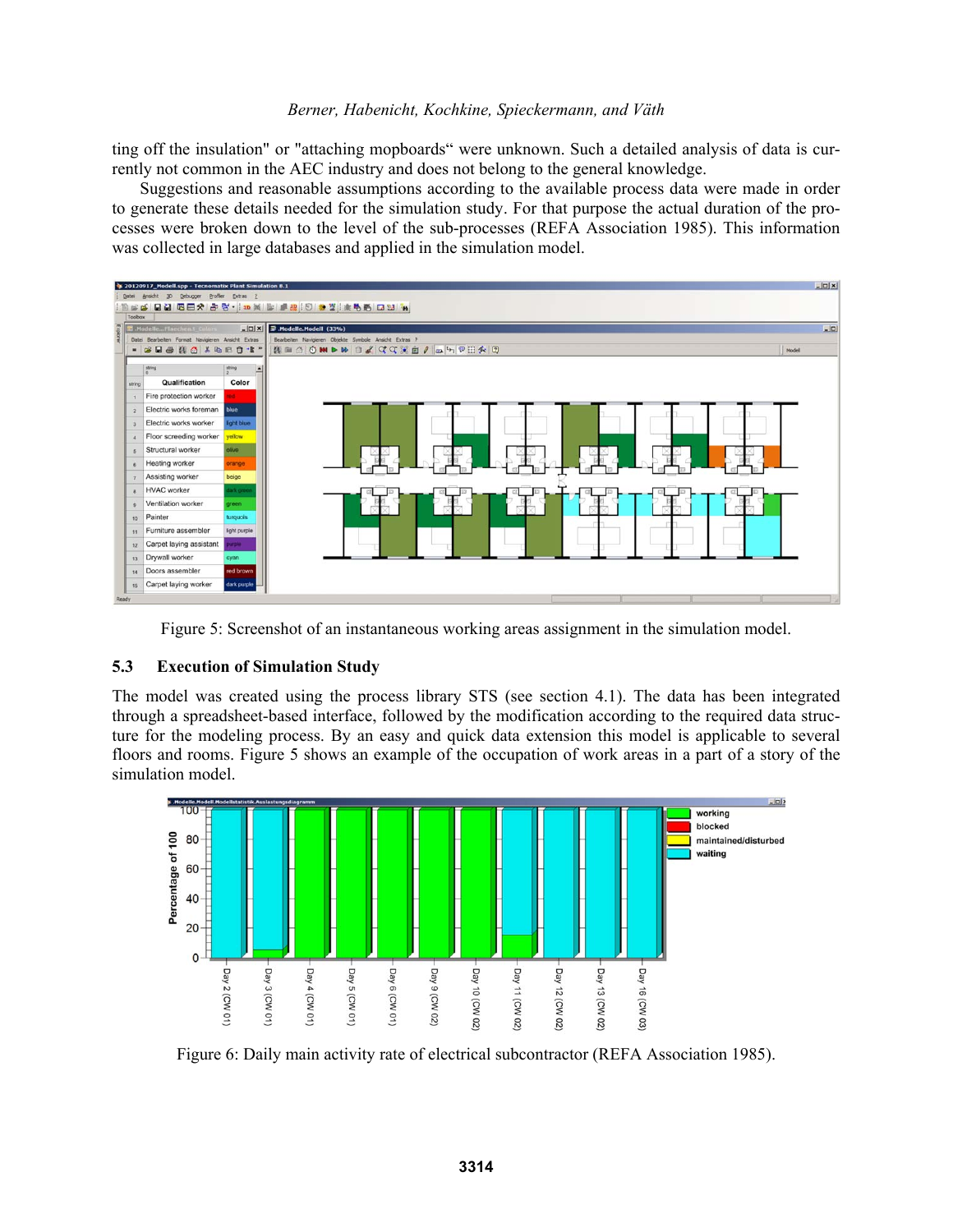ting off the insulation" or "attaching mopboards" were unknown. Such a detailed analysis of data is currently not common in the AEC industry and does not belong to the general knowledge.

 Suggestions and reasonable assumptions according to the available process data were made in order to generate these details needed for the simulation study. For that purpose the actual duration of the processes were broken down to the level of the sub-processes (REFA Association 1985). This information was collected in large databases and applied in the simulation model.



Figure 5: Screenshot of an instantaneous working areas assignment in the simulation model.

# **5.3 Execution of Simulation Study**

The model was created using the process library STS (see section 4.1). The data has been integrated through a spreadsheet-based interface, followed by the modification according to the required data structure for the modeling process. By an easy and quick data extension this model is applicable to several floors and rooms. Figure 5 shows an example of the occupation of work areas in a part of a story of the simulation model.



Figure 6: Daily main activity rate of electrical subcontractor (REFA Association 1985).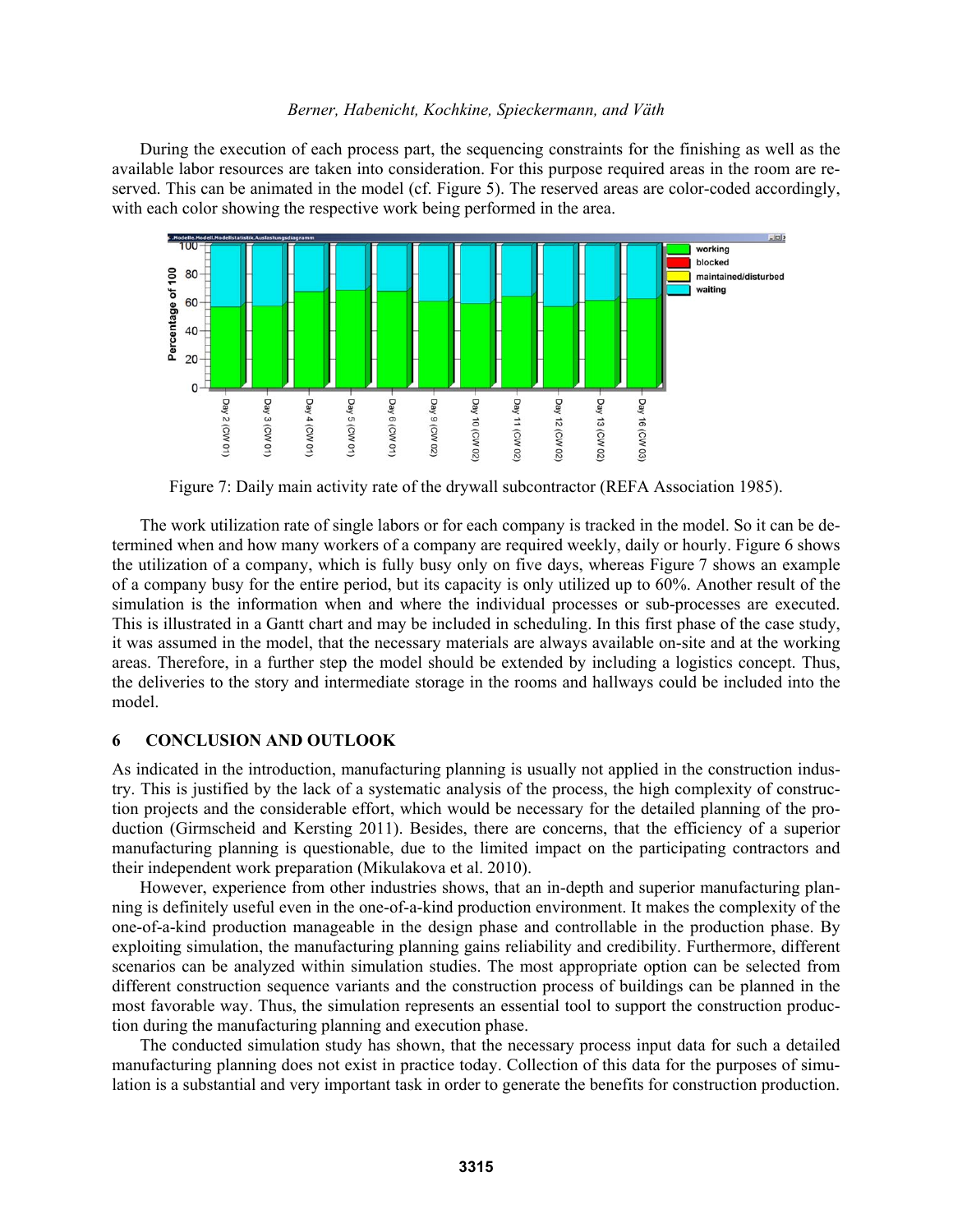During the execution of each process part, the sequencing constraints for the finishing as well as the available labor resources are taken into consideration. For this purpose required areas in the room are reserved. This can be animated in the model (cf. Figure 5). The reserved areas are color-coded accordingly, with each color showing the respective work being performed in the area.



Figure 7: Daily main activity rate of the drywall subcontractor (REFA Association 1985).

 The work utilization rate of single labors or for each company is tracked in the model. So it can be determined when and how many workers of a company are required weekly, daily or hourly. Figure 6 shows the utilization of a company, which is fully busy only on five days, whereas Figure 7 shows an example of a company busy for the entire period, but its capacity is only utilized up to 60%. Another result of the simulation is the information when and where the individual processes or sub-processes are executed. This is illustrated in a Gantt chart and may be included in scheduling. In this first phase of the case study, it was assumed in the model, that the necessary materials are always available on-site and at the working areas. Therefore, in a further step the model should be extended by including a logistics concept. Thus, the deliveries to the story and intermediate storage in the rooms and hallways could be included into the model.

# **6 CONCLUSION AND OUTLOOK**

As indicated in the introduction, manufacturing planning is usually not applied in the construction industry. This is justified by the lack of a systematic analysis of the process, the high complexity of construction projects and the considerable effort, which would be necessary for the detailed planning of the production (Girmscheid and Kersting 2011). Besides, there are concerns, that the efficiency of a superior manufacturing planning is questionable, due to the limited impact on the participating contractors and their independent work preparation (Mikulakova et al. 2010).

 However, experience from other industries shows, that an in-depth and superior manufacturing planning is definitely useful even in the one-of-a-kind production environment. It makes the complexity of the one-of-a-kind production manageable in the design phase and controllable in the production phase. By exploiting simulation, the manufacturing planning gains reliability and credibility. Furthermore, different scenarios can be analyzed within simulation studies. The most appropriate option can be selected from different construction sequence variants and the construction process of buildings can be planned in the most favorable way. Thus, the simulation represents an essential tool to support the construction production during the manufacturing planning and execution phase.

 The conducted simulation study has shown, that the necessary process input data for such a detailed manufacturing planning does not exist in practice today. Collection of this data for the purposes of simulation is a substantial and very important task in order to generate the benefits for construction production.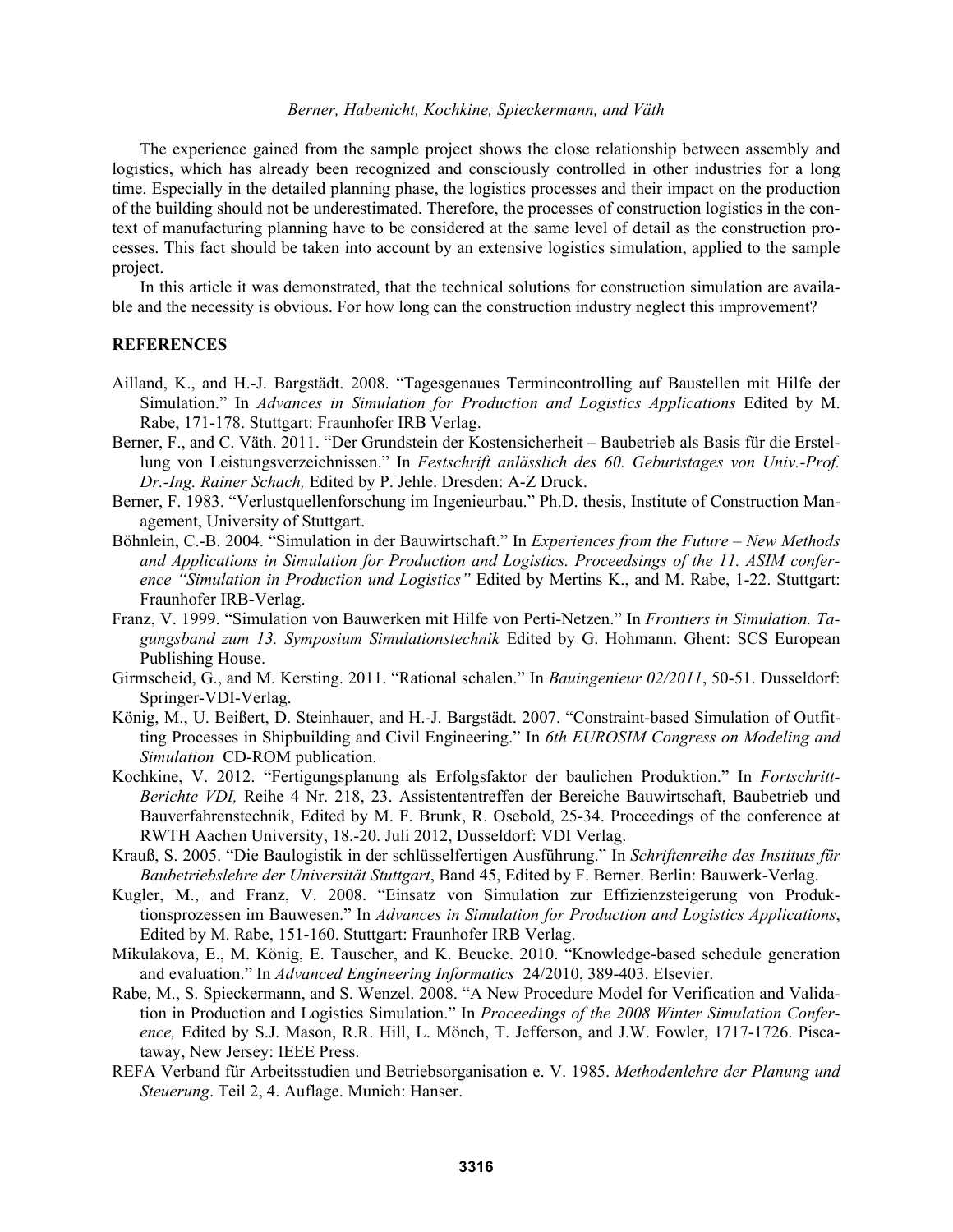The experience gained from the sample project shows the close relationship between assembly and logistics, which has already been recognized and consciously controlled in other industries for a long time. Especially in the detailed planning phase, the logistics processes and their impact on the production of the building should not be underestimated. Therefore, the processes of construction logistics in the context of manufacturing planning have to be considered at the same level of detail as the construction processes. This fact should be taken into account by an extensive logistics simulation, applied to the sample project.

 In this article it was demonstrated, that the technical solutions for construction simulation are available and the necessity is obvious. For how long can the construction industry neglect this improvement?

### **REFERENCES**

- Ailland, K., and H.-J. Bargstädt. 2008. "Tagesgenaues Termincontrolling auf Baustellen mit Hilfe der Simulation." In *Advances in Simulation for Production and Logistics Applications* Edited by M. Rabe, 171-178. Stuttgart: Fraunhofer IRB Verlag.
- Berner, F., and C. Väth. 2011. "Der Grundstein der Kostensicherheit Baubetrieb als Basis für die Erstellung von Leistungsverzeichnissen." In *Festschrift anlässlich des 60. Geburtstages von Univ.-Prof. Dr.-Ing. Rainer Schach,* Edited by P. Jehle. Dresden: A-Z Druck.
- Berner, F. 1983. "Verlustquellenforschung im Ingenieurbau." Ph.D. thesis, Institute of Construction Management, University of Stuttgart.
- Böhnlein, C.-B. 2004. "Simulation in der Bauwirtschaft." In *Experiences from the Future New Methods and Applications in Simulation for Production and Logistics. Proceedsings of the 11. ASIM conference "Simulation in Production und Logistics"* Edited by Mertins K., and M. Rabe, 1-22. Stuttgart: Fraunhofer IRB-Verlag.
- Franz, V. 1999. "Simulation von Bauwerken mit Hilfe von Perti-Netzen." In *Frontiers in Simulation. Tagungsband zum 13. Symposium Simulationstechnik* Edited by G. Hohmann. Ghent: SCS European Publishing House.
- Girmscheid, G., and M. Kersting. 2011. "Rational schalen." In *Bauingenieur 02/2011*, 50-51. Dusseldorf: Springer-VDI-Verlag.
- König, M., U. Beißert, D. Steinhauer, and H.-J. Bargstädt. 2007. "Constraint-based Simulation of Outfitting Processes in Shipbuilding and Civil Engineering." In *6th EUROSIM Congress on Modeling and Simulation* CD-ROM publication.
- Kochkine, V. 2012. "Fertigungsplanung als Erfolgsfaktor der baulichen Produktion." In *Fortschritt-Berichte VDI,* Reihe 4 Nr. 218, 23. Assistententreffen der Bereiche Bauwirtschaft, Baubetrieb und Bauverfahrenstechnik, Edited by M. F. Brunk, R. Osebold, 25-34. Proceedings of the conference at RWTH Aachen University, 18.-20. Juli 2012, Dusseldorf: VDI Verlag.
- Krauß, S. 2005. "Die Baulogistik in der schlüsselfertigen Ausführung." In *Schriftenreihe des Instituts für Baubetriebslehre der Universität Stuttgart*, Band 45, Edited by F. Berner. Berlin: Bauwerk-Verlag.
- Kugler, M., and Franz, V. 2008. "Einsatz von Simulation zur Effizienzsteigerung von Produktionsprozessen im Bauwesen." In *Advances in Simulation for Production and Logistics Applications*, Edited by M. Rabe, 151-160. Stuttgart: Fraunhofer IRB Verlag.
- Mikulakova, E., M. König, E. Tauscher, and K. Beucke. 2010. "Knowledge-based schedule generation and evaluation." In *Advanced Engineering Informatics* 24/2010, 389-403. Elsevier.
- Rabe, M., S. Spieckermann, and S. Wenzel. 2008. "A New Procedure Model for Verification and Validation in Production and Logistics Simulation." In *Proceedings of the 2008 Winter Simulation Conference,* Edited by S.J. Mason, R.R. Hill, L. Mönch, T. Jefferson, and J.W. Fowler, 1717-1726. Piscataway, New Jersey: IEEE Press.
- REFA Verband für Arbeitsstudien und Betriebsorganisation e. V. 1985. *Methodenlehre der Planung und Steuerung*. Teil 2, 4. Auflage. Munich: Hanser.